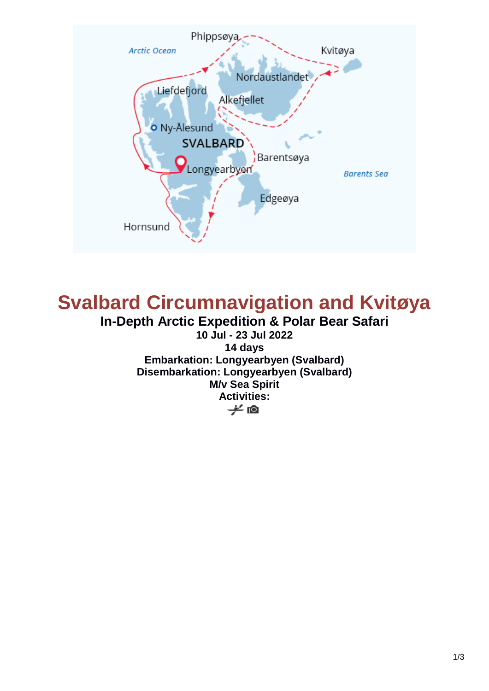

# **Svalbard Circumnavigation and Kvitøya**

**In-Depth Arctic Expedition & Polar Bear Safari 10 Jul - 23 Jul 2022 14 days Embarkation: Longyearbyen (Svalbard) Disembarkation: Longyearbyen (Svalbard) M/v Sea Spirit Activities:** $\neq$  0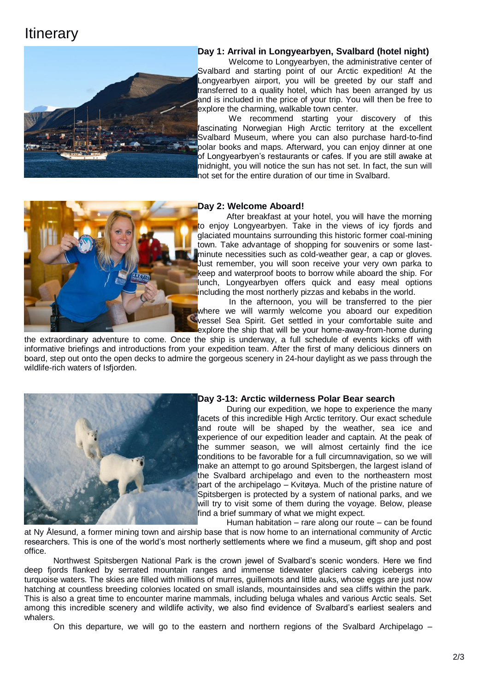## **Itinerary**



### **Day 1: Arrival in Longyearbyen, Svalbard (hotel night)**

Welcome to Longyearbyen, the administrative center of Svalbard and starting point of our Arctic expedition! At the Longyearbyen airport, you will be greeted by our staff and transferred to a quality hotel, which has been arranged by us and is included in the price of your trip. You will then be free to explore the charming, walkable town center.

We recommend starting your discovery of this fascinating Norwegian High Arctic territory at the excellent Svalbard Museum, where you can also purchase hard-to-find polar books and maps. Afterward, you can enjoy dinner at one of Longyearbyen's restaurants or cafes. If you are still awake at midnight, you will notice the sun has not set. In fact, the sun will not set for the entire duration of our time in Svalbard.



#### **Day 2: Welcome Aboard!**

After breakfast at your hotel, you will have the morning to enjoy Longyearbyen. Take in the views of icy fjords and glaciated mountains surrounding this historic former coal-mining town. Take advantage of shopping for souvenirs or some lastminute necessities such as cold-weather gear, a cap or gloves. Just remember, you will soon receive your very own parka to keep and waterproof boots to borrow while aboard the ship. For lunch, Longyearbyen offers quick and easy meal options including the most northerly pizzas and kebabs in the world.

In the afternoon, you will be transferred to the pier where we will warmly welcome you aboard our expedition vessel Sea Spirit. Get settled in your comfortable suite and explore the ship that will be your home-away-from-home during

the extraordinary adventure to come. Once the ship is underway, a full schedule of events kicks off with informative briefings and introductions from your expedition team. After the first of many delicious dinners on board, step out onto the open decks to admire the gorgeous scenery in 24-hour daylight as we pass through the wildlife-rich waters of Isfjorden.



#### **Day 3-13: Arctic wilderness Polar Bear search**

During our expedition, we hope to experience the many facets of this incredible High Arctic territory. Our exact schedule and route will be shaped by the weather, sea ice and experience of our expedition leader and captain. At the peak of the summer season, we will almost certainly find the ice conditions to be favorable for a full circumnavigation, so we will make an attempt to go around Spitsbergen, the largest island of the Svalbard archipelago and even to the northeastern most part of the archipelago – Kvitøya. Much of the pristine nature of Spitsbergen is protected by a system of national parks, and we will try to visit some of them during the voyage. Below, please find a brief summary of what we might expect.

Human habitation – rare along our route – can be found

at Ny Ålesund, a former mining town and airship base that is now home to an international community of Arctic researchers. This is one of the world's most northerly settlements where we find a museum, gift shop and post office.

Northwest Spitsbergen National Park is the crown jewel of Svalbard's scenic wonders. Here we find deep fjords flanked by serrated mountain ranges and immense tidewater glaciers calving icebergs into turquoise waters. The skies are filled with millions of murres, guillemots and little auks, whose eggs are just now hatching at countless breeding colonies located on small islands, mountainsides and sea cliffs within the park. This is also a great time to encounter marine mammals, including beluga whales and various Arctic seals. Set among this incredible scenery and wildlife activity, we also find evidence of Svalbard's earliest sealers and whalers.

On this departure, we will go to the eastern and northern regions of the Svalbard Archipelago –